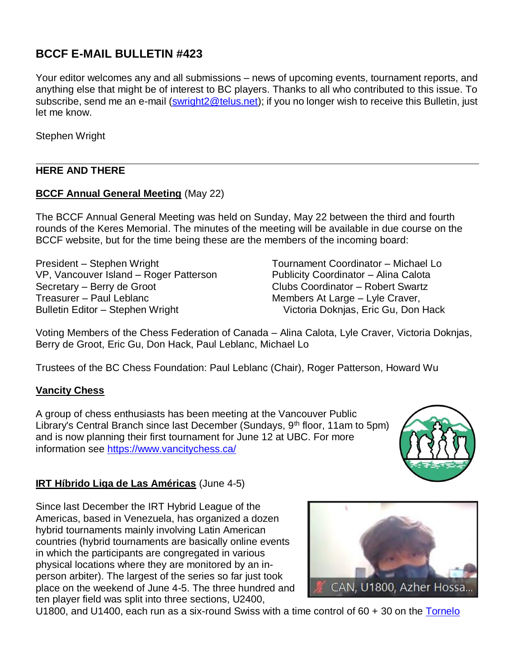# **BCCF E-MAIL BULLETIN #423**

Your editor welcomes any and all submissions – news of upcoming events, tournament reports, and anything else that might be of interest to BC players. Thanks to all who contributed to this issue. To subscribe, send me an e-mail [\(swright2@telus.net\)](mailto:swright2@telus.net); if you no longer wish to receive this Bulletin, just let me know.

Stephen Wright

## **HERE AND THERE**

### **BCCF Annual General Meeting** (May 22)

The BCCF Annual General Meeting was held on Sunday, May 22 between the third and fourth rounds of the Keres Memorial. The minutes of the meeting will be available in due course on the BCCF website, but for the time being these are the members of the incoming board:

President – Stephen Wright VP, Vancouver Island – Roger Patterson Secretary – Berry de Groot Treasurer – Paul Leblanc Bulletin Editor – Stephen Wright

Tournament Coordinator – Michael Lo Publicity Coordinator – Alina Calota Clubs Coordinator – Robert Swartz Members At Large – Lyle Craver, Victoria Doknjas, Eric Gu, Don Hack

Voting Members of the Chess Federation of Canada – Alina Calota, Lyle Craver, Victoria Doknjas, Berry de Groot, Eric Gu, Don Hack, Paul Leblanc, Michael Lo

Trustees of the BC Chess Foundation: Paul Leblanc (Chair), Roger Patterson, Howard Wu

#### **Vancity Chess**

A group of chess enthusiasts has been meeting at the Vancouver Public Library's Central Branch since last December (Sundays,  $9<sup>th</sup>$  floor, 11am to 5pm) and is now planning their first tournament for June 12 at UBC. For more information see<https://www.vancitychess.ca/>

#### **IRT Híbrido Liga de Las Américas** (June 4-5)

Since last December the IRT Hybrid League of the Americas, based in Venezuela, has organized a dozen hybrid tournaments mainly involving Latin American countries (hybrid tournaments are basically online events in which the participants are congregated in various physical locations where they are monitored by an inperson arbiter). The largest of the series so far just took place on the weekend of June 4-5. The three hundred and ten player field was split into three sections, U2400,

CAN, U1800, Azher Hossa...

U1800, and U1400, each run as a six-round Swiss with a time control of 60 + 30 on the [Tornelo](https://tornelo.com/chess/orgs/circuito-h-brido-de-las-am-ricas/events/irt-h-brido-liga-de-las-am-ricas-sub-2400/summary)

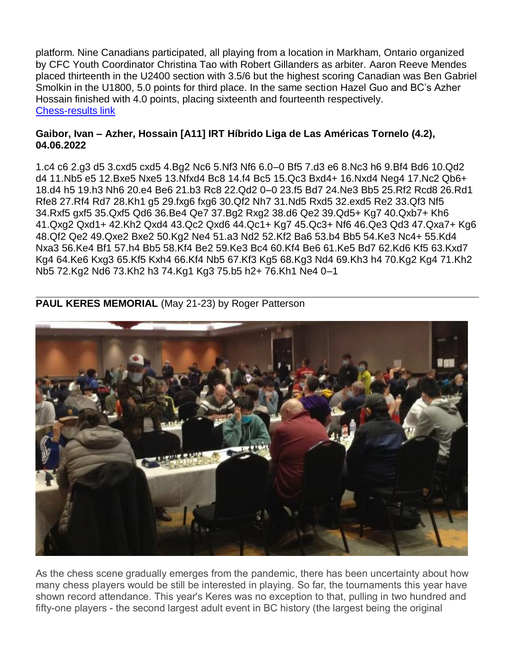platform. Nine Canadians participated, all playing from a location in Markham, Ontario organized by CFC Youth Coordinator Christina Tao with Robert Gillanders as arbiter. Aaron Reeve Mendes placed thirteenth in the U2400 section with 3.5/6 but the highest scoring Canadian was Ben Gabriel Smolkin in the U1800, 5.0 points for third place. In the same section Hazel Guo and BC's Azher Hossain finished with 4.0 points, placing sixteenth and fourteenth respectively. [Chess-results link](https://chess-results.com/tnr644796.aspx?lan=2&art=25&fedb=CAN&turdet=YES&flag=30)

#### **Gaibor, Ivan – Azher, Hossain [A11] IRT Híbrido Liga de Las Américas Tornelo (4.2), 04.06.2022**

1.c4 c6 2.g3 d5 3.cxd5 cxd5 4.Bg2 Nc6 5.Nf3 Nf6 6.0–0 Bf5 7.d3 e6 8.Nc3 h6 9.Bf4 Bd6 10.Qd2 d4 11.Nb5 e5 12.Bxe5 Nxe5 13.Nfxd4 Bc8 14.f4 Bc5 15.Qc3 Bxd4+ 16.Nxd4 Neg4 17.Nc2 Qb6+ 18.d4 h5 19.h3 Nh6 20.e4 Be6 21.b3 Rc8 22.Qd2 0–0 23.f5 Bd7 24.Ne3 Bb5 25.Rf2 Rcd8 26.Rd1 Rfe8 27.Rf4 Rd7 28.Kh1 g5 29.fxg6 fxg6 30.Qf2 Nh7 31.Nd5 Rxd5 32.exd5 Re2 33.Qf3 Nf5 34.Rxf5 gxf5 35.Qxf5 Qd6 36.Be4 Qe7 37.Bg2 Rxg2 38.d6 Qe2 39.Qd5+ Kg7 40.Qxb7+ Kh6 41.Qxg2 Qxd1+ 42.Kh2 Qxd4 43.Qc2 Qxd6 44.Qc1+ Kg7 45.Qc3+ Nf6 46.Qe3 Qd3 47.Qxa7+ Kg6 48.Qf2 Qe2 49.Qxe2 Bxe2 50.Kg2 Ne4 51.a3 Nd2 52.Kf2 Ba6 53.b4 Bb5 54.Ke3 Nc4+ 55.Kd4 Nxa3 56.Ke4 Bf1 57.h4 Bb5 58.Kf4 Be2 59.Ke3 Bc4 60.Kf4 Be6 61.Ke5 Bd7 62.Kd6 Kf5 63.Kxd7 Kg4 64.Ke6 Kxg3 65.Kf5 Kxh4 66.Kf4 Nb5 67.Kf3 Kg5 68.Kg3 Nd4 69.Kh3 h4 70.Kg2 Kg4 71.Kh2 Nb5 72.Kg2 Nd6 73.Kh2 h3 74.Kg1 Kg3 75.b5 h2+ 76.Kh1 Ne4 0–1



**PAUL KERES MEMORIAL** (May 21-23) by Roger Patterson

As the chess scene gradually emerges from the pandemic, there has been uncertainty about how many chess players would be still be interested in playing. So far, the tournaments this year have shown record attendance. This year's Keres was no exception to that, pulling in two hundred and fifty-one players - the second largest adult event in BC history (the largest being the original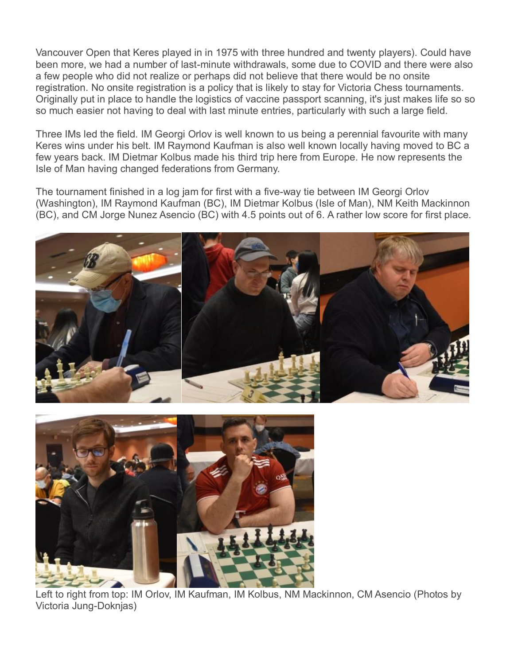Vancouver Open that Keres played in in 1975 with three hundred and twenty players). Could have been more, we had a number of last-minute withdrawals, some due to COVID and there were also a few people who did not realize or perhaps did not believe that there would be no onsite registration. No onsite registration is a policy that is likely to stay for Victoria Chess tournaments. Originally put in place to handle the logistics of vaccine passport scanning, it's just makes life so so so much easier not having to deal with last minute entries, particularly with such a large field.

Three IMs led the field. IM Georgi Orlov is well known to us being a perennial favourite with many Keres wins under his belt. IM Raymond Kaufman is also well known locally having moved to BC a few years back. IM Dietmar Kolbus made his third trip here from Europe. He now represents the Isle of Man having changed federations from Germany.

The tournament finished in a log jam for first with a five-way tie between IM Georgi Orlov (Washington), IM Raymond Kaufman (BC), IM Dietmar Kolbus (Isle of Man), NM Keith Mackinnon (BC), and CM Jorge Nunez Asencio (BC) with 4.5 points out of 6. A rather low score for first place.





Left to right from top: IM Orlov, IM Kaufman, IM Kolbus, NM Mackinnon, CM Asencio (Photos by Victoria Jung-Doknjas)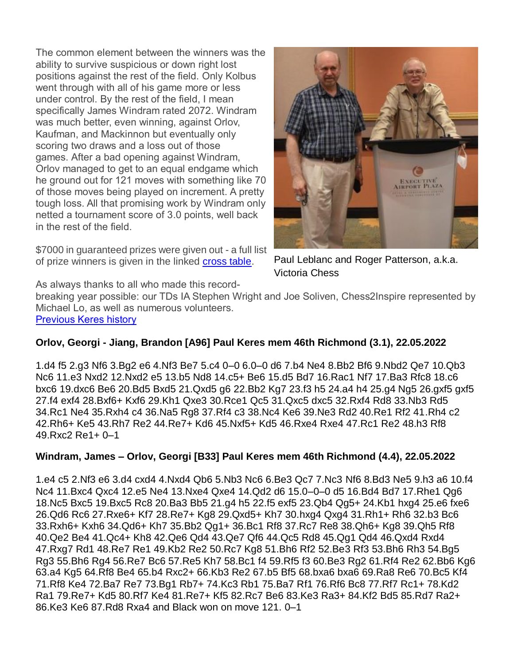The common element between the winners was the ability to survive suspicious or down right lost positions against the rest of the field. Only Kolbus went through with all of his game more or less under control. By the rest of the field, I mean specifically James Windram rated 2072. Windram was much better, even winning, against Orlov, Kaufman, and Mackinnon but eventually only scoring two draws and a loss out of those games. After a bad opening against Windram, Orlov managed to get to an equal endgame which he ground out for 121 moves with something like 70 of those moves being played on increment. A pretty tough loss. All that promising work by Windram only netted a tournament score of 3.0 points, well back in the rest of the field.

\$7000 in guaranteed prizes were given out - a full list of prize winners is given in the linked [cross table.](http://keresmemorial.pbworks.com/w/page/149253432/EventReport2022)



Paul Leblanc and Roger Patterson, a.k.a. Victoria Chess

As always thanks to all who made this record-

breaking year possible: our TDs IA Stephen Wright and Joe Soliven, Chess2Inspire represented by Michael Lo, as well as numerous volunteers. [Previous Keres history](http://www.bcchesshistory.com/keresmem.html)

## **Orlov, Georgi - Jiang, Brandon [A96] Paul Keres mem 46th Richmond (3.1), 22.05.2022**

1.d4 f5 2.g3 Nf6 3.Bg2 e6 4.Nf3 Be7 5.c4 0–0 6.0–0 d6 7.b4 Ne4 8.Bb2 Bf6 9.Nbd2 Qe7 10.Qb3 Nc6 11.e3 Nxd2 12.Nxd2 e5 13.b5 Nd8 14.c5+ Be6 15.d5 Bd7 16.Rac1 Nf7 17.Ba3 Rfc8 18.c6 bxc6 19.dxc6 Be6 20.Bd5 Bxd5 21.Qxd5 g6 22.Bb2 Kg7 23.f3 h5 24.a4 h4 25.g4 Ng5 26.gxf5 gxf5 27.f4 exf4 28.Bxf6+ Kxf6 29.Kh1 Qxe3 30.Rce1 Qc5 31.Qxc5 dxc5 32.Rxf4 Rd8 33.Nb3 Rd5 34.Rc1 Ne4 35.Rxh4 c4 36.Na5 Rg8 37.Rf4 c3 38.Nc4 Ke6 39.Ne3 Rd2 40.Re1 Rf2 41.Rh4 c2 42.Rh6+ Ke5 43.Rh7 Re2 44.Re7+ Kd6 45.Nxf5+ Kd5 46.Rxe4 Rxe4 47.Rc1 Re2 48.h3 Rf8 49.Rxc2 Re1+ 0–1

## **Windram, James – Orlov, Georgi [B33] Paul Keres mem 46th Richmond (4.4), 22.05.2022**

1.e4 c5 2.Nf3 e6 3.d4 cxd4 4.Nxd4 Qb6 5.Nb3 Nc6 6.Be3 Qc7 7.Nc3 Nf6 8.Bd3 Ne5 9.h3 a6 10.f4 Nc4 11.Bxc4 Qxc4 12.e5 Ne4 13.Nxe4 Qxe4 14.Qd2 d6 15.0–0–0 d5 16.Bd4 Bd7 17.Rhe1 Qg6 18.Nc5 Bxc5 19.Bxc5 Rc8 20.Ba3 Bb5 21.g4 h5 22.f5 exf5 23.Qb4 Qg5+ 24.Kb1 hxg4 25.e6 fxe6 26.Qd6 Rc6 27.Rxe6+ Kf7 28.Re7+ Kg8 29.Qxd5+ Kh7 30.hxg4 Qxg4 31.Rh1+ Rh6 32.b3 Bc6 33.Rxh6+ Kxh6 34.Qd6+ Kh7 35.Bb2 Qg1+ 36.Bc1 Rf8 37.Rc7 Re8 38.Qh6+ Kg8 39.Qh5 Rf8 40.Qe2 Be4 41.Qc4+ Kh8 42.Qe6 Qd4 43.Qe7 Qf6 44.Qc5 Rd8 45.Qg1 Qd4 46.Qxd4 Rxd4 47.Rxg7 Rd1 48.Re7 Re1 49.Kb2 Re2 50.Rc7 Kg8 51.Bh6 Rf2 52.Be3 Rf3 53.Bh6 Rh3 54.Bg5 Rg3 55.Bh6 Rg4 56.Re7 Bc6 57.Re5 Kh7 58.Bc1 f4 59.Rf5 f3 60.Be3 Rg2 61.Rf4 Re2 62.Bb6 Kg6 63.a4 Kg5 64.Rf8 Be4 65.b4 Rxc2+ 66.Kb3 Re2 67.b5 Bf5 68.bxa6 bxa6 69.Ra8 Re6 70.Bc5 Kf4 71.Rf8 Ke4 72.Ba7 Re7 73.Bg1 Rb7+ 74.Kc3 Rb1 75.Ba7 Rf1 76.Rf6 Bc8 77.Rf7 Rc1+ 78.Kd2 Ra1 79.Re7+ Kd5 80.Rf7 Ke4 81.Re7+ Kf5 82.Rc7 Be6 83.Ke3 Ra3+ 84.Kf2 Bd5 85.Rd7 Ra2+ 86.Ke3 Ke6 87.Rd8 Rxa4 and Black won on move 121. 0–1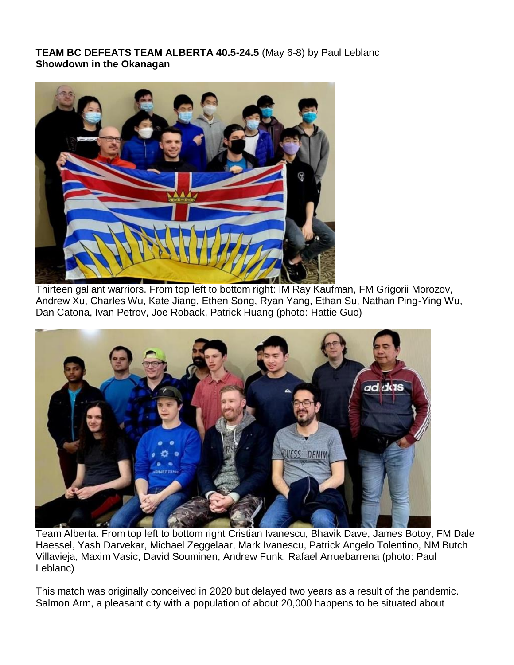## **TEAM BC DEFEATS TEAM ALBERTA 40.5-24.5** (May 6-8) by Paul Leblanc **Showdown in the Okanagan**



Thirteen gallant warriors. From top left to bottom right: IM Ray Kaufman, FM Grigorii Morozov, Andrew Xu, Charles Wu, Kate Jiang, Ethen Song, Ryan Yang, Ethan Su, Nathan Ping-Ying Wu, Dan Catona, Ivan Petrov, Joe Roback, Patrick Huang (photo: Hattie Guo)



Team Alberta. From top left to bottom right Cristian Ivanescu, Bhavik Dave, James Botoy, FM Dale Haessel, Yash Darvekar, Michael Zeggelaar, Mark Ivanescu, Patrick Angelo Tolentino, NM Butch Villavieja, Maxim Vasic, David Souminen, Andrew Funk, Rafael Arruebarrena (photo: Paul Leblanc)

This match was originally conceived in 2020 but delayed two years as a result of the pandemic. Salmon Arm, a pleasant city with a population of about 20,000 happens to be situated about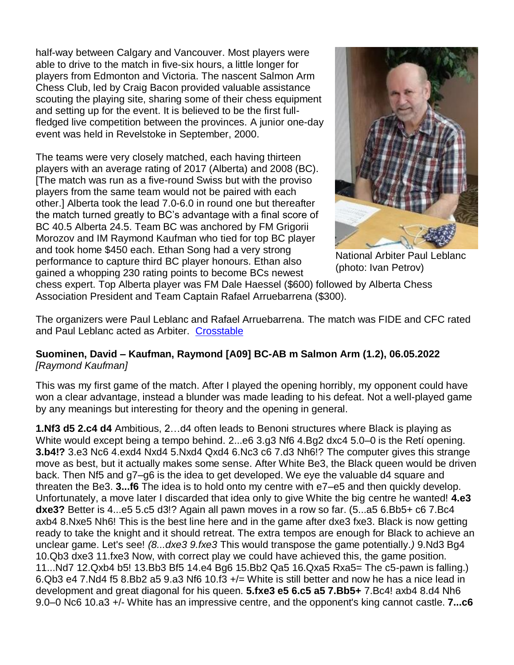half-way between Calgary and Vancouver. Most players were able to drive to the match in five-six hours, a little longer for players from Edmonton and Victoria. The nascent Salmon Arm Chess Club, led by Craig Bacon provided valuable assistance scouting the playing site, sharing some of their chess equipment and setting up for the event. It is believed to be the first fullfledged live competition between the provinces. A junior one-day event was held in Revelstoke in September, 2000.

The teams were very closely matched, each having thirteen players with an average rating of 2017 (Alberta) and 2008 (BC). [The match was run as a five-round Swiss but with the proviso players from the same team would not be paired with each other.] Alberta took the lead 7.0-6.0 in round one but thereafter the match turned greatly to BC's advantage with a final score of BC 40.5 Alberta 24.5. Team BC was anchored by FM Grigorii Morozov and IM Raymond Kaufman who tied for top BC player and took home \$450 each. Ethan Song had a very strong performance to capture third BC player honours. Ethan also gained a whopping 230 rating points to become BCs newest



National Arbiter Paul Leblanc (photo: Ivan Petrov)

chess expert. Top Alberta player was FM Dale Haessel (\$600) followed by Alberta Chess Association President and Team Captain Rafael Arruebarrena (\$300).

The organizers were Paul Leblanc and Rafael Arruebarrena. The match was FIDE and CFC rated and Paul Leblanc acted as Arbiter. [Crosstable](https://www.chess.ca/en/ratings/t/?id=202205018)

#### **Suominen, David – Kaufman, Raymond [A09] BC-AB m Salmon Arm (1.2), 06.05.2022** *[Raymond Kaufman]*

This was my first game of the match. After I played the opening horribly, my opponent could have won a clear advantage, instead a blunder was made leading to his defeat. Not a well-played game by any meanings but interesting for theory and the opening in general.

**1.Nf3 d5 2.c4 d4** Ambitious, 2…d4 often leads to Benoni structures where Black is playing as White would except being a tempo behind. 2...e6 3.g3 Nf6 4.Bg2 dxc4 5.0–0 is the Retí opening. **3.b4!?** 3.e3 Nc6 4.exd4 Nxd4 5.Nxd4 Qxd4 6.Nc3 c6 7.d3 Nh6!? The computer gives this strange move as best, but it actually makes some sense. After White Be3, the Black queen would be driven back. Then Nf5 and g7–g6 is the idea to get developed. We eye the valuable d4 square and threaten the Be3. **3...f6** The idea is to hold onto my centre with e7–e5 and then quickly develop. Unfortunately, a move later I discarded that idea only to give White the big centre he wanted! **4.e3 dxe3?** Better is 4...e5 5.c5 d3!? Again all pawn moves in a row so far. (5...a5 6.Bb5+ c6 7.Bc4 axb4 8.Nxe5 Nh6! This is the best line here and in the game after dxe3 fxe3. Black is now getting ready to take the knight and it should retreat. The extra tempos are enough for Black to achieve an unclear game. Let's see! *(8...dxe3 9.fxe3* This would transpose the game potentially.*)* 9.Nd3 Bg4 10.Qb3 dxe3 11.fxe3 Now, with correct play we could have achieved this, the game position. 11...Nd7 12.Qxb4 b5! 13.Bb3 Bf5 14.e4 Bg6 15.Bb2 Qa5 16.Qxa5 Rxa5= The c5-pawn is falling.) 6.Qb3 e4 7.Nd4 f5 8.Bb2 a5 9.a3 Nf6 10.f3 +/= White is still better and now he has a nice lead in development and great diagonal for his queen. **5.fxe3 e5 6.c5 a5 7.Bb5+** 7.Bc4! axb4 8.d4 Nh6 9.0–0 Nc6 10.a3 +/- White has an impressive centre, and the opponent's king cannot castle. **7...c6**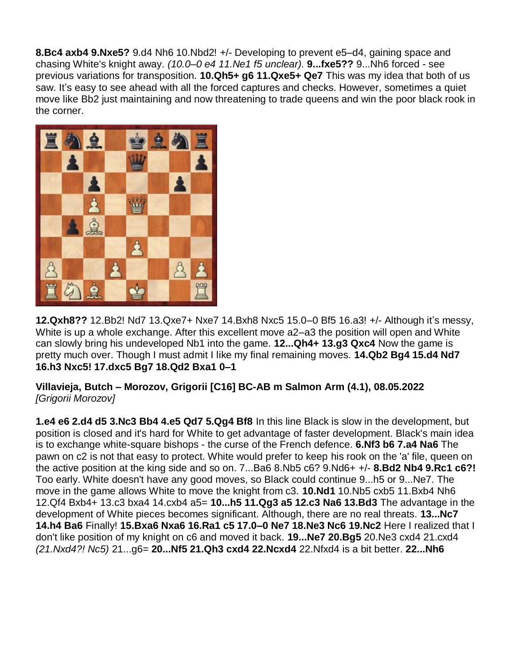**8.Bc4 axb4 9.Nxe5?** 9.d4 Nh6 10.Nbd2! +/- Developing to prevent e5–d4, gaining space and chasing White's knight away. *(10.0–0 e4 11.Ne1 f5 unclear).* **9...fxe5??** 9...Nh6 forced - see previous variations for transposition. **10.Qh5+ g6 11.Qxe5+ Qe7** This was my idea that both of us saw. It's easy to see ahead with all the forced captures and checks. However, sometimes a quiet move like Bb2 just maintaining and now threatening to trade queens and win the poor black rook in the corner.



**12.Qxh8??** 12.Bb2! Nd7 13.Qxe7+ Nxe7 14.Bxh8 Nxc5 15.0–0 Bf5 16.a3! +/- Although it's messy, White is up a whole exchange. After this excellent move a2–a3 the position will open and White can slowly bring his undeveloped Nb1 into the game. **12...Qh4+ 13.g3 Qxc4** Now the game is pretty much over. Though I must admit I like my final remaining moves. **14.Qb2 Bg4 15.d4 Nd7 16.h3 Nxc5! 17.dxc5 Bg7 18.Qd2 Bxa1 0–1**

**Villavieja, Butch – Morozov, Grigorii [C16] BC-AB m Salmon Arm (4.1), 08.05.2022** *[Grigorii Morozov]*

**1.e4 e6 2.d4 d5 3.Nc3 Bb4 4.e5 Qd7 5.Qg4 Bf8** In this line Black is slow in the development, but position is closed and it's hard for White to get advantage of faster development. Black's main idea is to exchange white-square bishops - the curse of the French defence. **6.Nf3 b6 7.a4 Na6** The pawn on c2 is not that easy to protect. White would prefer to keep his rook on the 'a' file, queen on the active position at the king side and so on. 7...Ba6 8.Nb5 c6? 9.Nd6+ +/- **8.Bd2 Nb4 9.Rc1 c6?!**  Too early. White doesn't have any good moves, so Black could continue 9...h5 or 9...Ne7. The move in the game allows White to move the knight from c3. **10.Nd1** 10.Nb5 cxb5 11.Bxb4 Nh6 12.Qf4 Bxb4+ 13.c3 bxa4 14.cxb4 a5= **10...h5 11.Qg3 a5 12.c3 Na6 13.Bd3** The advantage in the development of White pieces becomes significant. Although, there are no real threats. **13...Nc7 14.h4 Ba6** Finally! **15.Bxa6 Nxa6 16.Ra1 c5 17.0–0 Ne7 18.Ne3 Nc6 19.Nc2** Here I realized that I don't like position of my knight on c6 and moved it back. **19...Ne7 20.Bg5** 20.Ne3 cxd4 21.cxd4 *(21.Nxd4?! Nc5)* 21...g6= **20...Nf5 21.Qh3 cxd4 22.Ncxd4** 22.Nfxd4 is a bit better. **22...Nh6**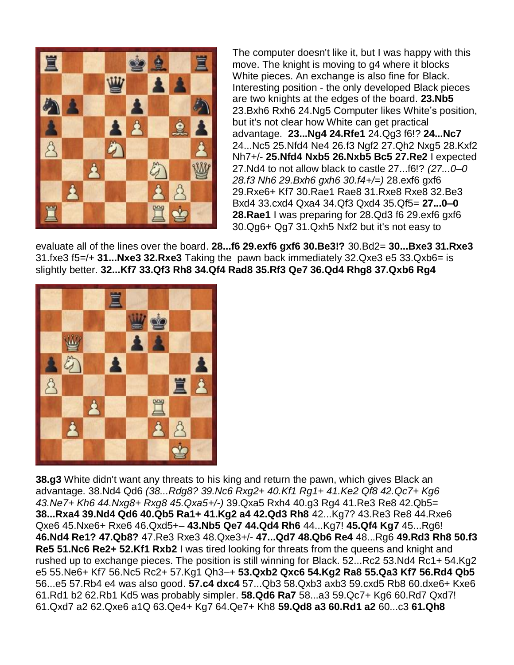

The computer doesn't like it, but I was happy with this move. The knight is moving to g4 where it blocks White pieces. An exchange is also fine for Black. Interesting position - the only developed Black pieces are two knights at the edges of the board. **23.Nb5**  23.Bxh6 Rxh6 24.Ng5 Computer likes White's position, but it's not clear how White can get practical advantage. **23...Ng4 24.Rfe1** 24.Qg3 f6!? **24...Nc7**  24...Nc5 25.Nfd4 Ne4 26.f3 Ngf2 27.Qh2 Nxg5 28.Kxf2 Nh7+/- **25.Nfd4 Nxb5 26.Nxb5 Bc5 27.Re2** I expected 27.Nd4 to not allow black to castle 27...f6!? *(27...0–0 28.f3 Nh6 29.Bxh6 gxh6 30.f4+/=)* 28.exf6 gxf6 29.Rxe6+ Kf7 30.Rae1 Rae8 31.Rxe8 Rxe8 32.Be3 Bxd4 33.cxd4 Qxa4 34.Qf3 Qxd4 35.Qf5= **27...0–0 28.Rae1** I was preparing for 28.Qd3 f6 29.exf6 gxf6 30.Qg6+ Qg7 31.Qxh5 Nxf2 but it's not easy to

evaluate all of the lines over the board. **28...f6 29.exf6 gxf6 30.Be3!?** 30.Bd2= **30...Bxe3 31.Rxe3**  31.fxe3 f5=/+ **31...Nxe3 32.Rxe3** Taking the pawn back immediately 32.Qxe3 e5 33.Qxb6= is slightly better. **32...Kf7 33.Qf3 Rh8 34.Qf4 Rad8 35.Rf3 Qe7 36.Qd4 Rhg8 37.Qxb6 Rg4** 



**38.g3** White didn't want any threats to his king and return the pawn, which gives Black an advantage. 38.Nd4 Qd6 *(38...Rdg8? 39.Nc6 Rxg2+ 40.Kf1 Rg1+ 41.Ke2 Qf8 42.Qc7+ Kg6 43.Ne7+ Kh6 44.Nxg8+ Rxg8 45.Qxa5+/-)* 39.Qxa5 Rxh4 40.g3 Rg4 41.Re3 Re8 42.Qb5= **38...Rxa4 39.Nd4 Qd6 40.Qb5 Ra1+ 41.Kg2 a4 42.Qd3 Rh8** 42...Kg7? 43.Re3 Re8 44.Rxe6 Qxe6 45.Nxe6+ Rxe6 46.Qxd5+– **43.Nb5 Qe7 44.Qd4 Rh6** 44...Kg7! **45.Qf4 Kg7** 45...Rg6! **46.Nd4 Re1? 47.Qb8?** 47.Re3 Rxe3 48.Qxe3+/- **47...Qd7 48.Qb6 Re4** 48...Rg6 **49.Rd3 Rh8 50.f3 Re5 51.Nc6 Re2+ 52.Kf1 Rxb2** I was tired looking for threats from the queens and knight and rushed up to exchange pieces. The position is still winning for Black. 52...Rc2 53.Nd4 Rc1+ 54.Kg2 e5 55.Ne6+ Kf7 56.Nc5 Rc2+ 57.Kg1 Qh3–+ **53.Qxb2 Qxc6 54.Kg2 Ra8 55.Qa3 Kf7 56.Rd4 Qb5**  56...e5 57.Rb4 e4 was also good. **57.c4 dxc4** 57...Qb3 58.Qxb3 axb3 59.cxd5 Rb8 60.dxe6+ Kxe6 61.Rd1 b2 62.Rb1 Kd5 was probably simpler. **58.Qd6 Ra7** 58...a3 59.Qc7+ Kg6 60.Rd7 Qxd7! 61.Qxd7 a2 62.Qxe6 a1Q 63.Qe4+ Kg7 64.Qe7+ Kh8 **59.Qd8 a3 60.Rd1 a2** 60...c3 **61.Qh8**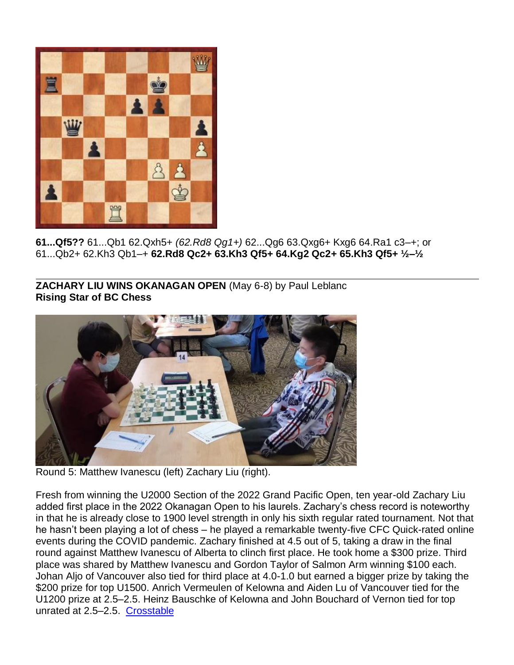

**61...Qf5??** 61...Qb1 62.Qxh5+ *(62.Rd8 Qg1+)* 62...Qg6 63.Qxg6+ Kxg6 64.Ra1 c3–+; or 61...Qb2+ 62.Kh3 Qb1–+ **62.Rd8 Qc2+ 63.Kh3 Qf5+ 64.Kg2 Qc2+ 65.Kh3 Qf5+ ½–½**

**ZACHARY LIU WINS OKANAGAN OPEN** (May 6-8) by Paul Leblanc **Rising Star of BC Chess**



Round 5: Matthew Ivanescu (left) Zachary Liu (right).

Fresh from winning the U2000 Section of the 2022 Grand Pacific Open, ten year-old Zachary Liu added first place in the 2022 Okanagan Open to his laurels. Zachary's chess record is noteworthy in that he is already close to 1900 level strength in only his sixth regular rated tournament. Not that he hasn't been playing a lot of chess – he played a remarkable twenty-five CFC Quick-rated online events during the COVID pandemic. Zachary finished at 4.5 out of 5, taking a draw in the final round against Matthew Ivanescu of Alberta to clinch first place. He took home a \$300 prize. Third place was shared by Matthew Ivanescu and Gordon Taylor of Salmon Arm winning \$100 each. Johan Aljo of Vancouver also tied for third place at 4.0-1.0 but earned a bigger prize by taking the \$200 prize for top U1500. Anrich Vermeulen of Kelowna and Aiden Lu of Vancouver tied for the U1200 prize at 2.5–2.5. Heinz Bauschke of Kelowna and John Bouchard of Vernon tied for top unrated at 2.5–2.5. [Crosstable](https://www.chess.ca/en/ratings/t/?id=202205020)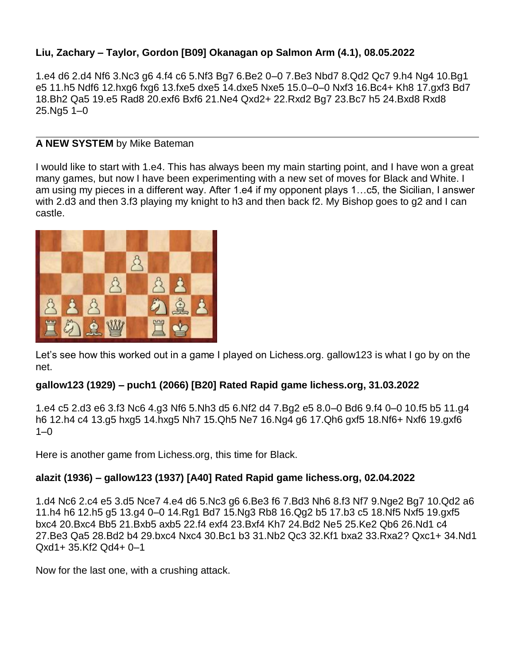## **Liu, Zachary – Taylor, Gordon [B09] Okanagan op Salmon Arm (4.1), 08.05.2022**

1.e4 d6 2.d4 Nf6 3.Nc3 g6 4.f4 c6 5.Nf3 Bg7 6.Be2 0–0 7.Be3 Nbd7 8.Qd2 Qc7 9.h4 Ng4 10.Bg1 e5 11.h5 Ndf6 12.hxg6 fxg6 13.fxe5 dxe5 14.dxe5 Nxe5 15.0–0–0 Nxf3 16.Bc4+ Kh8 17.gxf3 Bd7 18.Bh2 Qa5 19.e5 Rad8 20.exf6 Bxf6 21.Ne4 Qxd2+ 22.Rxd2 Bg7 23.Bc7 h5 24.Bxd8 Rxd8 25.Ng5 1–0

### **A NEW SYSTEM** by Mike Bateman

I would like to start with 1.e4. This has always been my main starting point, and I have won a great many games, but now I have been experimenting with a new set of moves for Black and White. I am using my pieces in a different way. After 1.e4 if my opponent plays 1…c5, the Sicilian, I answer with 2.d3 and then 3.f3 playing my knight to h3 and then back f2. My Bishop goes to g2 and I can castle.



Let's see how this worked out in a game I played on Lichess.org. gallow123 is what I go by on the net.

## **gallow123 (1929) – puch1 (2066) [B20] Rated Rapid game lichess.org, 31.03.2022**

1.e4 c5 2.d3 e6 3.f3 Nc6 4.g3 Nf6 5.Nh3 d5 6.Nf2 d4 7.Bg2 e5 8.0–0 Bd6 9.f4 0–0 10.f5 b5 11.g4 h6 12.h4 c4 13.g5 hxg5 14.hxg5 Nh7 15.Qh5 Ne7 16.Ng4 g6 17.Qh6 gxf5 18.Nf6+ Nxf6 19.gxf6  $1 - 0$ 

Here is another game from Lichess.org, this time for Black.

## **alazit (1936) – gallow123 (1937) [A40] Rated Rapid game lichess.org, 02.04.2022**

1.d4 Nc6 2.c4 e5 3.d5 Nce7 4.e4 d6 5.Nc3 g6 6.Be3 f6 7.Bd3 Nh6 8.f3 Nf7 9.Nge2 Bg7 10.Qd2 a6 11.h4 h6 12.h5 g5 13.g4 0–0 14.Rg1 Bd7 15.Ng3 Rb8 16.Qg2 b5 17.b3 c5 18.Nf5 Nxf5 19.gxf5 bxc4 20.Bxc4 Bb5 21.Bxb5 axb5 22.f4 exf4 23.Bxf4 Kh7 24.Bd2 Ne5 25.Ke2 Qb6 26.Nd1 c4 27.Be3 Qa5 28.Bd2 b4 29.bxc4 Nxc4 30.Bc1 b3 31.Nb2 Qc3 32.Kf1 bxa2 33.Rxa2? Qxc1+ 34.Nd1 Qxd1+ 35.Kf2 Qd4+ 0–1

Now for the last one, with a crushing attack.